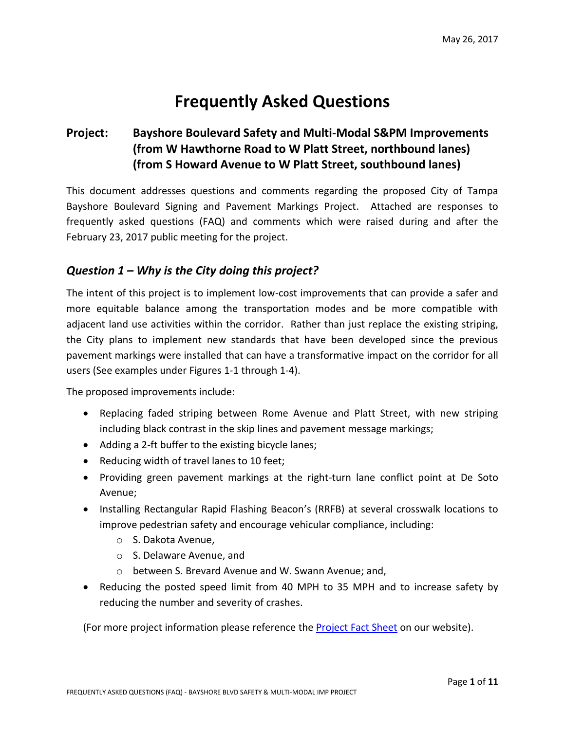# **Frequently Asked Questions**

#### **Project: Bayshore Boulevard Safety and Multi-Modal S&PM Improvements (from W Hawthorne Road to W Platt Street, northbound lanes) (from S Howard Avenue to W Platt Street, southbound lanes)**

This document addresses questions and comments regarding the proposed City of Tampa Bayshore Boulevard Signing and Pavement Markings Project. Attached are responses to frequently asked questions (FAQ) and comments which were raised during and after the February 23, 2017 public meeting for the project.

#### *Question 1 – Why is the City doing this project?*

The intent of this project is to implement low-cost improvements that can provide a safer and more equitable balance among the transportation modes and be more compatible with adjacent land use activities within the corridor. Rather than just replace the existing striping, the City plans to implement new standards that have been developed since the previous pavement markings were installed that can have a transformative impact on the corridor for all users (See examples under Figures 1-1 through 1-4).

The proposed improvements include:

- Replacing faded striping between Rome Avenue and Platt Street, with new striping including black contrast in the skip lines and pavement message markings;
- Adding a 2-ft buffer to the existing bicycle lanes;
- Reducing width of travel lanes to 10 feet;
- Providing green pavement markings at the right-turn lane conflict point at De Soto Avenue;
- Installing Rectangular Rapid Flashing Beacon's (RRFB) at several crosswalk locations to improve pedestrian safety and encourage vehicular compliance, including:
	- o S. Dakota Avenue,
	- o S. Delaware Avenue, and
	- o between S. Brevard Avenue and W. Swann Avenue; and,
- Reducing the posted speed limit from 40 MPH to 35 MPH and to increase safety by reducing the number and severity of crashes.

(For more project information please reference the [Project Fact Sheet](https://www.tampagov.net/sites/default/files/transportation/files/project_fact_sheet-bayshore_blvd_spm_0000075_2017-05-19.pdf) on our website).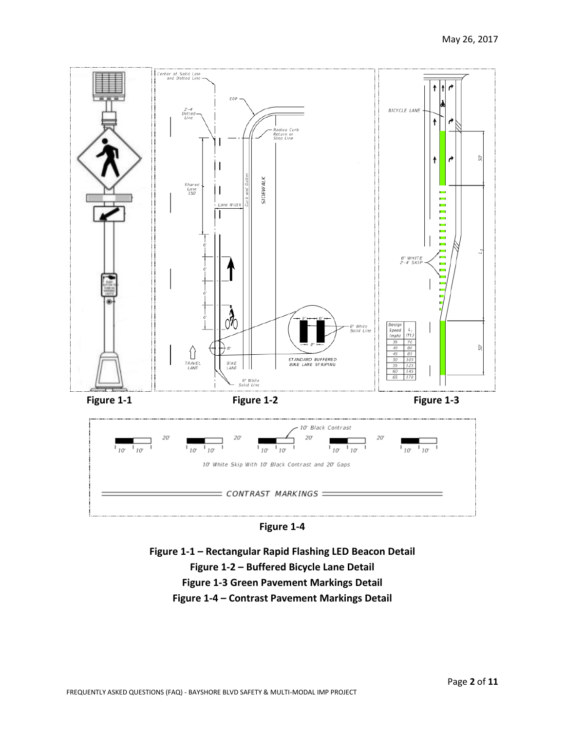

**Figure 1-4**

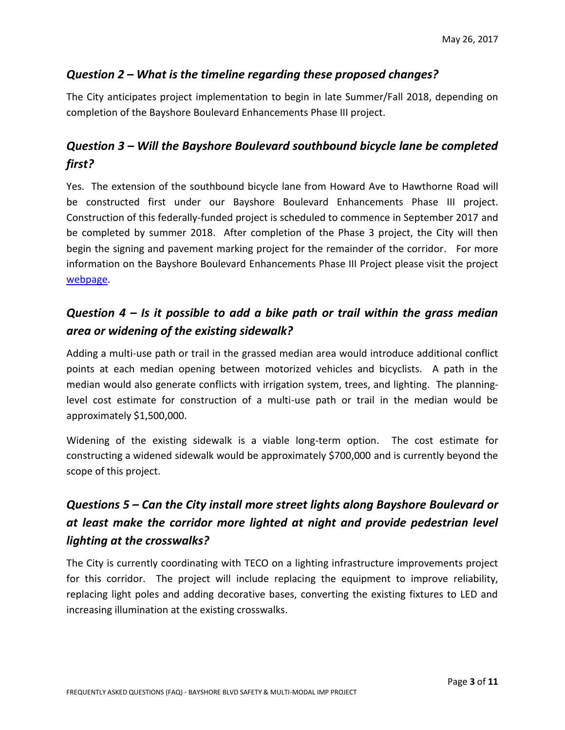#### *Question 2 – What is the timeline regarding these proposed changes?*

The City anticipates project implementation to begin in late Summer/Fall 2018, depending on completion of the Bayshore Boulevard Enhancements Phase III project.

### *Question 3 – Will the Bayshore Boulevard southbound bicycle lane be completed first?*

Yes. The extension of the southbound bicycle lane from Howard Ave to Hawthorne Road will be constructed first under our Bayshore Boulevard Enhancements Phase III project. Construction of this federally-funded project is scheduled to commence in September 2017 and be completed by summer 2018. After completion of the Phase 3 project, the City will then begin the signing and pavement marking project for the remainder of the corridor. For more information on the Bayshore Boulevard Enhancements Phase III Project please visit the project [webpage.](https://www.tampagov.net/transportation/transportation_engineering/capital_projects/projects/bayshore_ph3)

### *Question 4 – Is it possible to add a bike path or trail within the grass median area or widening of the existing sidewalk?*

Adding a multi-use path or trail in the grassed median area would introduce additional conflict points at each median opening between motorized vehicles and bicyclists. A path in the median would also generate conflicts with irrigation system, trees, and lighting. The planninglevel cost estimate for construction of a multi-use path or trail in the median would be approximately \$1,500,000.

Widening of the existing sidewalk is a viable long-term option. The cost estimate for constructing a widened sidewalk would be approximately \$700,000 and is currently beyond the scope of this project.

# *Questions 5 – Can the City install more street lights along Bayshore Boulevard or at least make the corridor more lighted at night and provide pedestrian level lighting at the crosswalks?*

The City is currently coordinating with TECO on a lighting infrastructure improvements project for this corridor. The project will include replacing the equipment to improve reliability, replacing light poles and adding decorative bases, converting the existing fixtures to LED and increasing illumination at the existing crosswalks.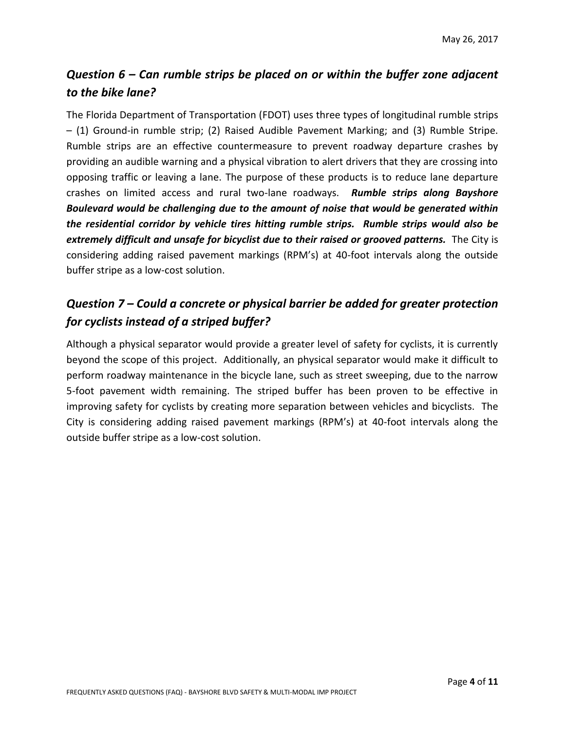# *Question 6 – Can rumble strips be placed on or within the buffer zone adjacent to the bike lane?*

The Florida Department of Transportation (FDOT) uses three types of longitudinal rumble strips – (1) Ground-in rumble strip; (2) Raised Audible Pavement Marking; and (3) Rumble Stripe. Rumble strips are an effective countermeasure to prevent roadway departure crashes by providing an audible warning and a physical vibration to alert drivers that they are crossing into opposing traffic or leaving a lane. The purpose of these products is to reduce lane departure crashes on limited access and rural two-lane roadways. *Rumble strips along Bayshore Boulevard would be challenging due to the amount of noise that would be generated within the residential corridor by vehicle tires hitting rumble strips. Rumble strips would also be extremely difficult and unsafe for bicyclist due to their raised or grooved patterns.* The City is considering adding raised pavement markings (RPM's) at 40-foot intervals along the outside buffer stripe as a low-cost solution.

# *Question 7 – Could a concrete or physical barrier be added for greater protection for cyclists instead of a striped buffer?*

Although a physical separator would provide a greater level of safety for cyclists, it is currently beyond the scope of this project. Additionally, an physical separator would make it difficult to perform roadway maintenance in the bicycle lane, such as street sweeping, due to the narrow 5-foot pavement width remaining. The striped buffer has been proven to be effective in improving safety for cyclists by creating more separation between vehicles and bicyclists. The City is considering adding raised pavement markings (RPM's) at 40-foot intervals along the outside buffer stripe as a low-cost solution.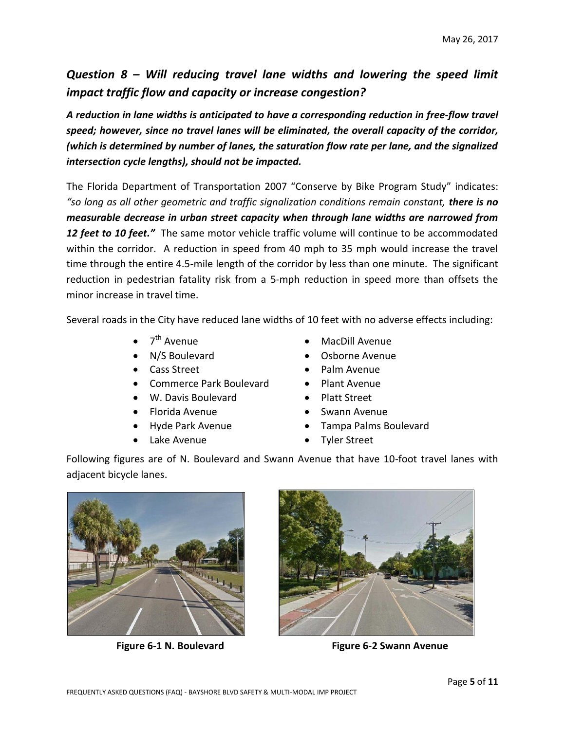### *Question 8 – Will reducing travel lane widths and lowering the speed limit impact traffic flow and capacity or increase congestion?*

*A reduction in lane widths is anticipated to have a corresponding reduction in free-flow travel speed; however, since no travel lanes will be eliminated, the overall capacity of the corridor, (which is determined by number of lanes, the saturation flow rate per lane, and the signalized intersection cycle lengths), should not be impacted.* 

The Florida Department of Transportation 2007 "Conserve by Bike Program Study" indicates: *"so long as all other geometric and traffic signalization conditions remain constant, there is no measurable decrease in urban street capacity when through lane widths are narrowed from 12 feet to 10 feet."* The same motor vehicle traffic volume will continue to be accommodated within the corridor. A reduction in speed from 40 mph to 35 mph would increase the travel time through the entire 4.5-mile length of the corridor by less than one minute. The significant reduction in pedestrian fatality risk from a 5-mph reduction in speed more than offsets the minor increase in travel time.

Several roads in the City have reduced lane widths of 10 feet with no adverse effects including:

- $\bullet$  7<sup>th</sup> Avenue
- 
- 
- Commerce Park Boulevard Plant Avenue
- W. Davis Boulevard Platt Street
- Florida Avenue Swann Avenue
- 
- Lake Avenue **Canadian Careet**
- th Avenue MacDill Avenue
- N/S Boulevard Osborne Avenue
- Cass Street **Cass Street Palm Avenue** 
	-
	-
	-
- Hyde Park Avenue Tampa Palms Boulevard
	-

Following figures are of N. Boulevard and Swann Avenue that have 10-foot travel lanes with adjacent bicycle lanes.





Figure 6-1 N. Boulevard **Figure 6-2 Swann Avenue**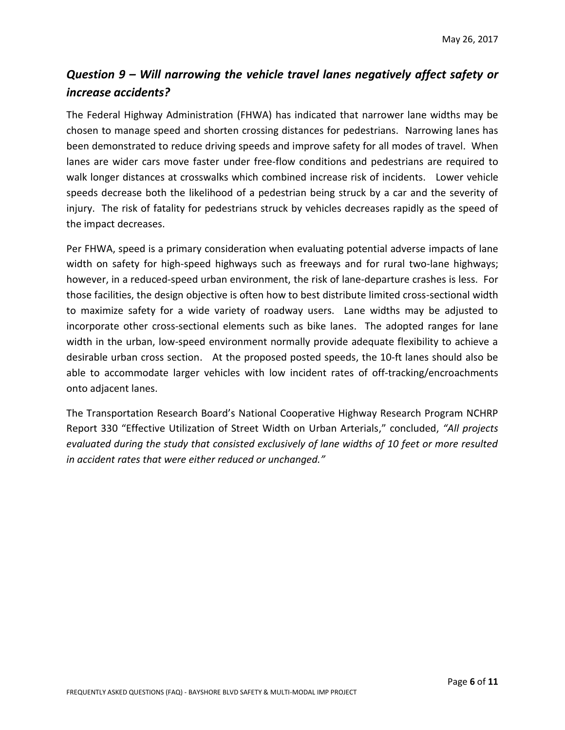# *Question 9 – Will narrowing the vehicle travel lanes negatively affect safety or increase accidents?*

The Federal Highway Administration (FHWA) has indicated that narrower lane widths may be chosen to manage speed and shorten crossing distances for pedestrians. Narrowing lanes has been demonstrated to reduce driving speeds and improve safety for all modes of travel. When lanes are wider cars move faster under free-flow conditions and pedestrians are required to walk longer distances at crosswalks which combined increase risk of incidents. Lower vehicle speeds decrease both the likelihood of a pedestrian being struck by a car and the severity of injury. The risk of fatality for pedestrians struck by vehicles decreases rapidly as the speed of the impact decreases.

Per FHWA, speed is a primary consideration when evaluating potential adverse impacts of lane width on safety for high-speed highways such as freeways and for rural two-lane highways; however, in a reduced-speed urban environment, the risk of lane-departure crashes is less. For those facilities, the design objective is often how to best distribute limited cross-sectional width to maximize safety for a wide variety of roadway users. Lane widths may be adjusted to incorporate other cross-sectional elements such as bike lanes. The adopted ranges for lane width in the urban, low-speed environment normally provide adequate flexibility to achieve a desirable urban cross section. At the proposed posted speeds, the 10-ft lanes should also be able to accommodate larger vehicles with low incident rates of off-tracking/encroachments onto adjacent lanes.

The Transportation Research Board's National Cooperative Highway Research Program NCHRP Report 330 "Effective Utilization of Street Width on Urban Arterials," concluded, *"All projects evaluated during the study that consisted exclusively of lane widths of 10 feet or more resulted in accident rates that were either reduced or unchanged."*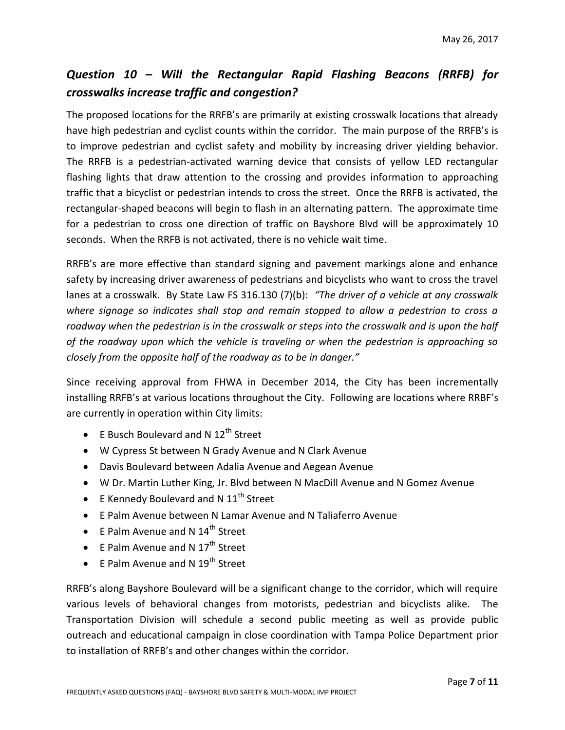### *Question 10 – Will the Rectangular Rapid Flashing Beacons (RRFB) for crosswalks increase traffic and congestion?*

The proposed locations for the RRFB's are primarily at existing crosswalk locations that already have high pedestrian and cyclist counts within the corridor. The main purpose of the RRFB's is to improve pedestrian and cyclist safety and mobility by increasing driver yielding behavior. The RRFB is a pedestrian-activated warning device that consists of yellow LED rectangular flashing lights that draw attention to the crossing and provides information to approaching traffic that a bicyclist or pedestrian intends to cross the street. Once the RRFB is activated, the rectangular-shaped beacons will begin to flash in an alternating pattern. The approximate time for a pedestrian to cross one direction of traffic on Bayshore Blvd will be approximately 10 seconds. When the RRFB is not activated, there is no vehicle wait time.

RRFB's are more effective than standard signing and pavement markings alone and enhance safety by increasing driver awareness of pedestrians and bicyclists who want to cross the travel lanes at a crosswalk. By State Law FS 316.130 (7)(b): *"The driver of a vehicle at any crosswalk where signage so indicates shall stop and remain stopped to allow a pedestrian to cross a roadway when the pedestrian is in the crosswalk or steps into the crosswalk and is upon the half of the roadway upon which the vehicle is traveling or when the pedestrian is approaching so closely from the opposite half of the roadway as to be in danger."*

Since receiving approval from FHWA in December 2014, the City has been incrementally installing RRFB's at various locations throughout the City. Following are locations where RRBF's are currently in operation within City limits:

- $\bullet$  E Busch Boulevard and N 12<sup>th</sup> Street
- W Cypress St between N Grady Avenue and N Clark Avenue
- Davis Boulevard between Adalia Avenue and Aegean Avenue
- W Dr. Martin Luther King, Jr. Blvd between N MacDill Avenue and N Gomez Avenue
- $\bullet$  E Kennedy Boulevard and N 11<sup>th</sup> Street
- E Palm Avenue between N Lamar Avenue and N Taliaferro Avenue
- $\bullet$  E Palm Avenue and N 14<sup>th</sup> Street
- E Palm Avenue and N  $17<sup>th</sup>$  Street
- $\bullet$  E Palm Avenue and N 19<sup>th</sup> Street

RRFB's along Bayshore Boulevard will be a significant change to the corridor, which will require various levels of behavioral changes from motorists, pedestrian and bicyclists alike. The Transportation Division will schedule a second public meeting as well as provide public outreach and educational campaign in close coordination with Tampa Police Department prior to installation of RRFB's and other changes within the corridor.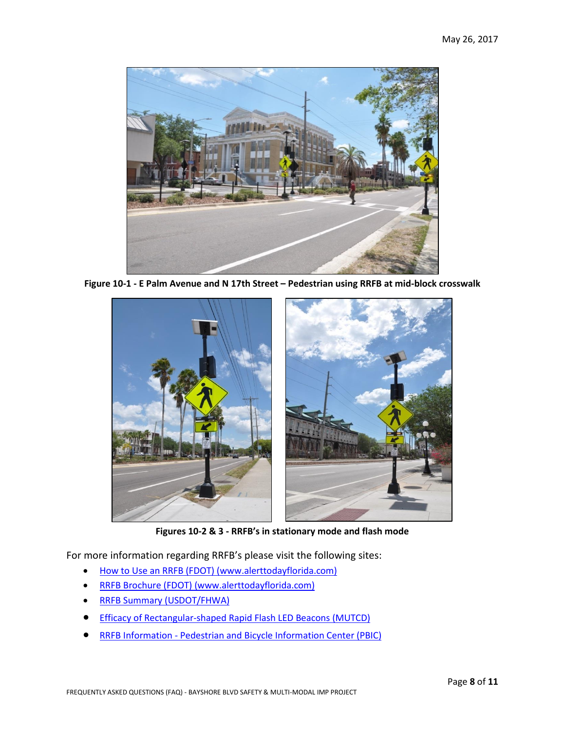

**Figure 10-1 - E Palm Avenue and N 17th Street – Pedestrian using RRFB at mid-block crosswalk**



**Figures 10-2 & 3 - RRFB's in stationary mode and flash mode**

For more information regarding RRFB's please visit the following sites:

- [How to Use an RRFB \(FDOT\) \(www.alerttodayflorida.com\)](http://www.alerttodayflorida.com/Print%20Materials/RRFB%20Tip%20Card/FINAL_RRFB%20Tip%20Card_060316_w.pdf)
- [RRFB Brochure \(FDOT\) \(www.alerttodayflorida.com\)](http://www.alerttodayflorida.com/Print%20Materials/RRFB/RRFB%20Brochure_English.pdf)
- [RRFB Summary \(USDOT/FHWA\)](https://safety.fhwa.dot.gov/intersection/conventional/unsignalized/tech_sum/fhwasa09009/fhwasa09009.pdf)
- **[Efficacy of Rectangular-shaped Rapid Flash LED Beacons \(MUTCD\)](https://mutcd.fhwa.dot.gov/resources/interim_approval/ia11/stpetersburgrpt/intro.htm)**
- RRFB Information [Pedestrian and Bicycle Information Center \(PBIC\)](http://www.pedbikeinfo.org/data/library/details.cfm?id=4766)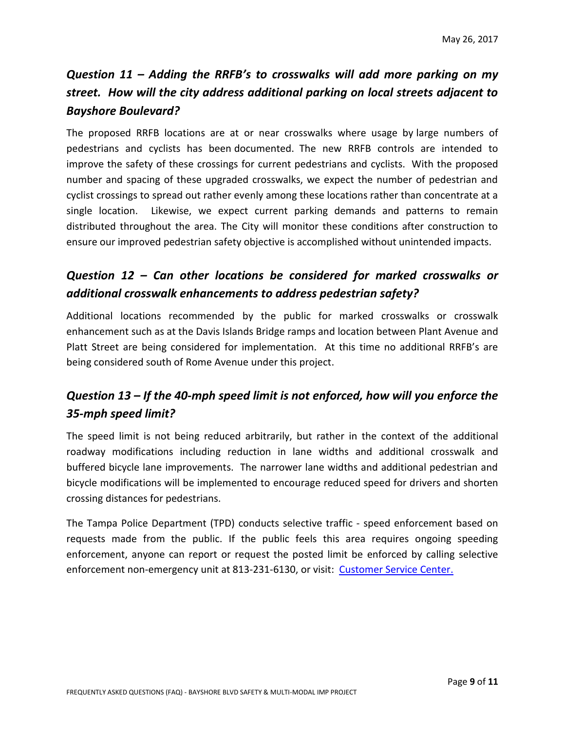# *Question 11 – Adding the RRFB's to crosswalks will add more parking on my street. How will the city address additional parking on local streets adjacent to Bayshore Boulevard?*

The proposed RRFB locations are at or near crosswalks where usage by large numbers of pedestrians and cyclists has been documented. The new RRFB controls are intended to improve the safety of these crossings for current pedestrians and cyclists. With the proposed number and spacing of these upgraded crosswalks, we expect the number of pedestrian and cyclist crossings to spread out rather evenly among these locations rather than concentrate at a single location. Likewise, we expect current parking demands and patterns to remain distributed throughout the area. The City will monitor these conditions after construction to ensure our improved pedestrian safety objective is accomplished without unintended impacts.

### *Question 12 – Can other locations be considered for marked crosswalks or additional crosswalk enhancements to address pedestrian safety?*

Additional locations recommended by the public for marked crosswalks or crosswalk enhancement such as at the Davis Islands Bridge ramps and location between Plant Avenue and Platt Street are being considered for implementation. At this time no additional RRFB's are being considered south of Rome Avenue under this project.

# *Question 13 – If the 40-mph speed limit is not enforced, how will you enforce the 35-mph speed limit?*

The speed limit is not being reduced arbitrarily, but rather in the context of the additional roadway modifications including reduction in lane widths and additional crosswalk and buffered bicycle lane improvements. The narrower lane widths and additional pedestrian and bicycle modifications will be implemented to encourage reduced speed for drivers and shorten crossing distances for pedestrians.

The Tampa Police Department (TPD) conducts selective traffic - speed enforcement based on requests made from the public. If the public feels this area requires ongoing speeding enforcement, anyone can report or request the posted limit be enforced by calling selective enforcement non-emergency unit at 813-231-6130, or visit: [Customer Service Center.](https://apps.tampagov.net/appl_customer_service_center/form.asp?strServiceID=331)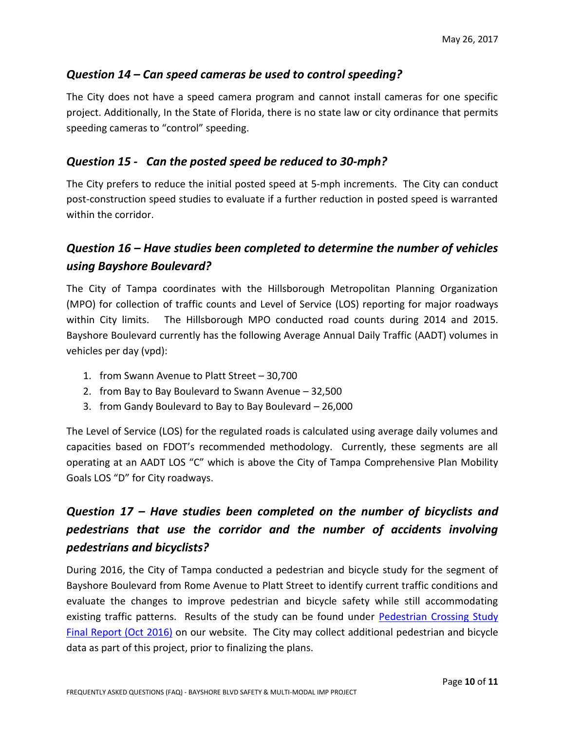#### *Question 14 – Can speed cameras be used to control speeding?*

The City does not have a speed camera program and cannot install cameras for one specific project. Additionally, In the State of Florida, there is no state law or city ordinance that permits speeding cameras to "control" speeding.

#### *Question 15 - Can the posted speed be reduced to 30-mph?*

The City prefers to reduce the initial posted speed at 5-mph increments. The City can conduct post-construction speed studies to evaluate if a further reduction in posted speed is warranted within the corridor.

#### *Question 16 – Have studies been completed to determine the number of vehicles using Bayshore Boulevard?*

The City of Tampa coordinates with the Hillsborough Metropolitan Planning Organization (MPO) for collection of traffic counts and Level of Service (LOS) reporting for major roadways within City limits. The Hillsborough MPO conducted road counts during 2014 and 2015. Bayshore Boulevard currently has the following Average Annual Daily Traffic (AADT) volumes in vehicles per day (vpd):

- 1. from Swann Avenue to Platt Street 30,700
- 2. from Bay to Bay Boulevard to Swann Avenue 32,500
- 3. from Gandy Boulevard to Bay to Bay Boulevard 26,000

The Level of Service (LOS) for the regulated roads is calculated using average daily volumes and capacities based on FDOT's recommended methodology. Currently, these segments are all operating at an AADT LOS "C" which is above the City of Tampa Comprehensive Plan Mobility Goals LOS "D" for City roadways.

# *Question 17 – Have studies been completed on the number of bicyclists and pedestrians that use the corridor and the number of accidents involving pedestrians and bicyclists?*

During 2016, the City of Tampa conducted a pedestrian and bicycle study for the segment of Bayshore Boulevard from Rome Avenue to Platt Street to identify current traffic conditions and evaluate the changes to improve pedestrian and bicycle safety while still accommodating existing traffic patterns. Results of the study can be found under Pedestrian Crossing Study [Final Report \(Oct 2016\)](https://www.tampagov.net/sites/default/files/transportation/files/dks_final_report_bayshore_pedestrian_crossings_october_14_2016.pdf) on our website. The City may collect additional pedestrian and bicycle data as part of this project, prior to finalizing the plans.